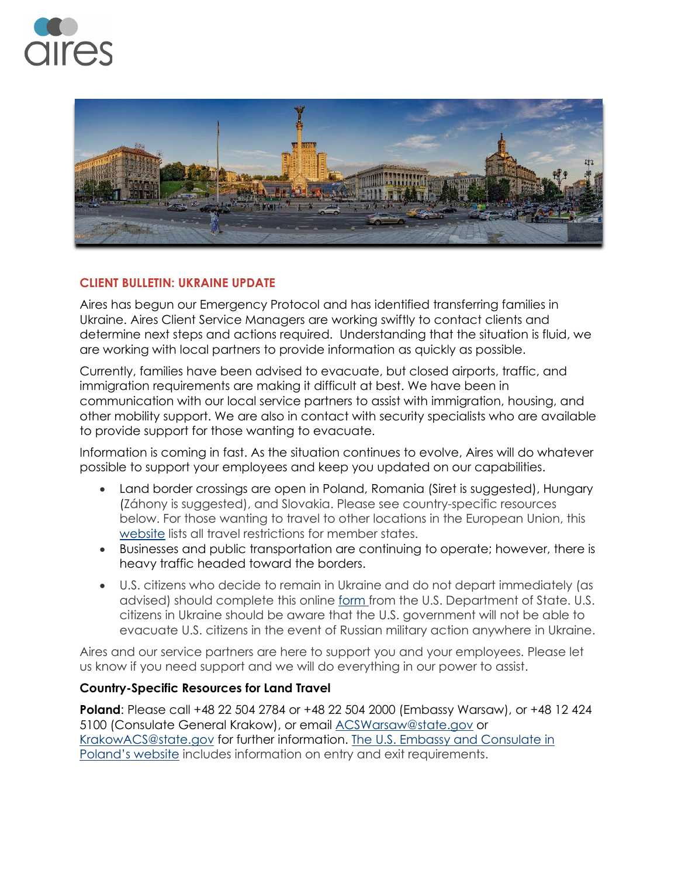



## **CLIENT BULLETIN: UKRAINE UPDATE**

Aires has begun our Emergency Protocol and has identified transferring families in Ukraine. Aires Client Service Managers are working swiftly to contact clients and determine next steps and actions required. Understanding that the situation is fluid, we are working with local partners to provide information as quickly as possible.

Currently, families have been advised to evacuate, but closed airports, traffic, and immigration requirements are making it difficult at best. We have been in communication with our local service partners to assist with immigration, housing, and other mobility support. We are also in contact with security specialists who are available to provide support for those wanting to evacuate.

Information is coming in fast. As the situation continues to evolve, Aires will do whatever possible to support your employees and keep you updated on our capabilities.

- Land border crossings are open in Poland, Romania (Siret is suggested), Hungary (Záhony is suggested), and Slovakia. Please see country-specific resources below. For those wanting to travel to other locations in the European Union, this [website](https://gcc02.safelinks.protection.outlook.com/?url=https%3A%2F%2Freopen.europa.eu%2Fen&data=04%7C01%7CSantoroAM%40state.gov%7C6d4b046ac44145fb4f0308d9e2b604b1%7C66cf50745afe48d1a691a12b2121f44b%7C0%7C1%7C637790093665638552%7CUnknown%7CTWFpbGZsb3d8eyJWIjoiMC4wLjAwMDAiLCJQIjoiV2luMzIiLCJBTiI6Ik1haWwiLCJXVCI6Mn0%3D%7C1000&sdata=7eMf25EN5in%2B7tD%2FYWR3JEG%2Bwt%2Fys1qkN6aoZIqUO88%3D&reserved=0) lists all travel restrictions for member states.
- Businesses and public transportation are continuing to operate; however, there is heavy traffic headed toward the borders.
- U.S. citizens who decide to remain in Ukraine and do not depart immediately (as advised) should complete this online [form](https://cacms.state.gov/s/crisis-intake) from the U.S. Department of State. U.S. citizens in Ukraine should be aware that the U.S. government will not be able to evacuate U.S. citizens in the event of Russian military action anywhere in Ukraine.

Aires and our service partners are here to support you and your employees. Please let us know if you need support and we will do everything in our power to assist.

## **Country-Specific Resources for Land Travel**

**Poland**: Please call +48 22 504 2784 or +48 22 504 2000 (Embassy Warsaw), or +48 12 424 5100 (Consulate General Krakow), or email [ACSWarsaw@state.gov](mailto:ACSWarsaw@state.gov) or [KrakowACS@state.gov](mailto:krakowacs@state.gov) for further information. The U.S. Embassy and [Consulate](https://pl.usembassy.gov/covid-19-information/) in [Poland's](https://pl.usembassy.gov/covid-19-information/) website includes information on entry and exit requirements.